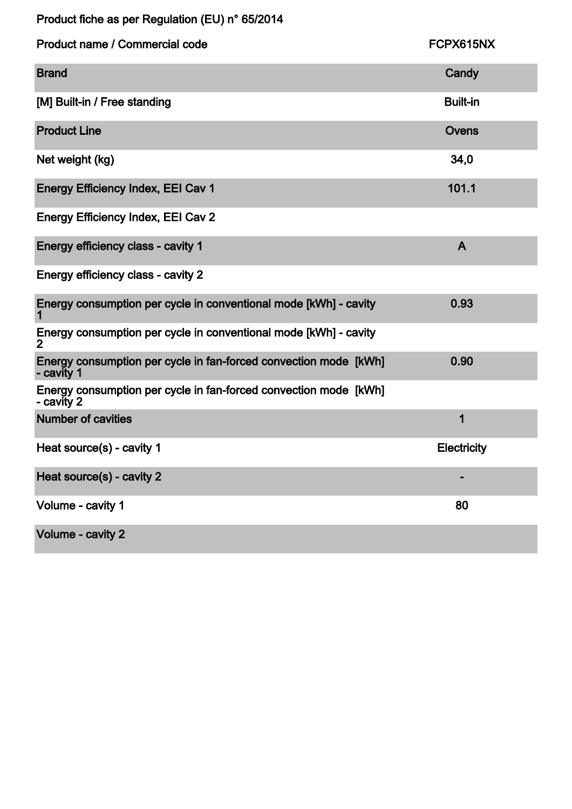| Product fiche as per Regulation (EU) n° 65/2014 |  |  |  |
|-------------------------------------------------|--|--|--|
|-------------------------------------------------|--|--|--|

| Product name / Commercial code                                                     | FCPX615NX          |
|------------------------------------------------------------------------------------|--------------------|
| <b>Brand</b>                                                                       | Candy              |
| [M] Built-in / Free standing                                                       | <b>Built-in</b>    |
| <b>Product Line</b>                                                                | <b>Ovens</b>       |
| Net weight (kg)                                                                    | 34,0               |
| <b>Energy Efficiency Index, EEI Cav 1</b>                                          | 101.1              |
| <b>Energy Efficiency Index, EEI Cav 2</b>                                          |                    |
| Energy efficiency class - cavity 1                                                 | $\mathsf{A}$       |
| Energy efficiency class - cavity 2                                                 |                    |
| Energy consumption per cycle in conventional mode [kWh] - cavity                   | 0.93               |
| Energy consumption per cycle in conventional mode [kWh] - cavity<br>$\overline{2}$ |                    |
| Energy consumption per cycle in fan-forced convection mode [kWh]<br>- cavity 1     | 0.90               |
| Energy consumption per cycle in fan-forced convection mode [kWh]<br>- cavity 2     |                    |
| <b>Number of cavities</b>                                                          | 1                  |
| Heat source(s) - cavity 1                                                          | <b>Electricity</b> |
| Heat source(s) - cavity 2                                                          |                    |
| Volume - cavity 1                                                                  | 80                 |
| Volume - cavity 2                                                                  |                    |